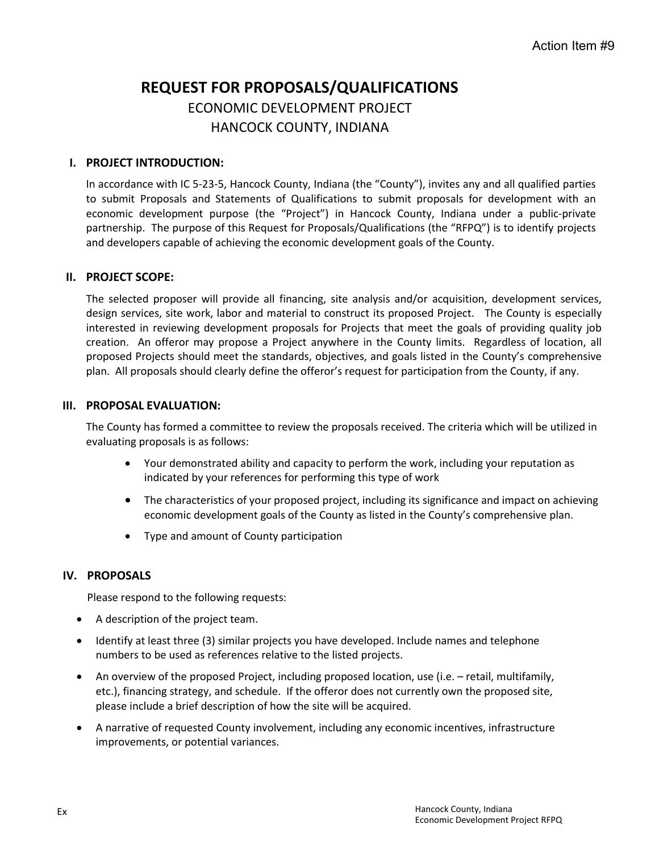# **REQUEST FOR PROPOSALS/QUALIFICATIONS** ECONOMIC DEVELOPMENT PROJECT HANCOCK COUNTY, INDIANA

#### **I. PROJECT INTRODUCTION:**

In accordance with IC 5-23-5, Hancock County, Indiana (the "County"), invites any and all qualified parties to submit Proposals and Statements of Qualifications to submit proposals for development with an economic development purpose (the "Project") in Hancock County, Indiana under a public-private partnership. The purpose of this Request for Proposals/Qualifications (the "RFPQ") is to identify projects and developers capable of achieving the economic development goals of the County.

#### **II. PROJECT SCOPE:**

The selected proposer will provide all financing, site analysis and/or acquisition, development services, design services, site work, labor and material to construct its proposed Project. The County is especially interested in reviewing development proposals for Projects that meet the goals of providing quality job creation. An offeror may propose a Project anywhere in the County limits. Regardless of location, all proposed Projects should meet the standards, objectives, and goals listed in the County's comprehensive plan. All proposals should clearly define the offeror's request for participation from the County, if any.

#### **III. PROPOSAL EVALUATION:**

The County has formed a committee to review the proposals received. The criteria which will be utilized in evaluating proposals is as follows:

- Your demonstrated ability and capacity to perform the work, including your reputation as indicated by your references for performing this type of work
- The characteristics of your proposed project, including its significance and impact on achieving economic development goals of the County as listed in the County's comprehensive plan.
- Type and amount of County participation

#### **IV. PROPOSALS**

Please respond to the following requests:

- A description of the project team.
- Identify at least three (3) similar projects you have developed. Include names and telephone numbers to be used as references relative to the listed projects.
- An overview of the proposed Project, including proposed location, use (i.e. retail, multifamily, etc.), financing strategy, and schedule. If the offeror does not currently own the proposed site, please include a brief description of how the site will be acquired.
- A narrative of requested County involvement, including any economic incentives, infrastructure improvements, or potential variances.